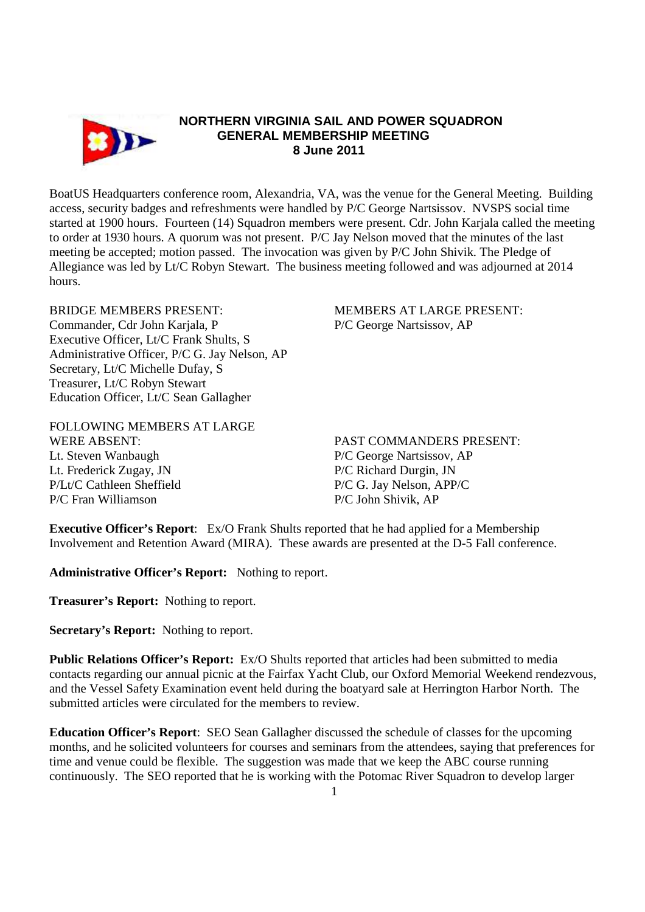

## **NORTHERN VIRGINIA SAIL AND POWER SQUADRON GENERAL MEMBERSHIP MEETING 8 June 2011**

BoatUS Headquarters conference room, Alexandria, VA, was the venue for the General Meeting. Building access, security badges and refreshments were handled by P/C George Nartsissov. NVSPS social time started at 1900 hours. Fourteen (14) Squadron members were present. Cdr. John Karjala called the meeting to order at 1930 hours. A quorum was not present. P/C Jay Nelson moved that the minutes of the last meeting be accepted; motion passed. The invocation was given by P/C John Shivik. The Pledge of Allegiance was led by Lt/C Robyn Stewart. The business meeting followed and was adjourned at 2014 hours.

BRIDGE MEMBERS PRESENT: MEMBERS AT LARGE PRESENT: Commander, Cdr John Karjala, P P/C George Nartsissov, AP Executive Officer, Lt/C Frank Shults, S Administrative Officer, P/C G. Jay Nelson, AP Secretary, Lt/C Michelle Dufay, S Treasurer, Lt/C Robyn Stewart Education Officer, Lt/C Sean Gallagher

FOLLOWING MEMBERS AT LARGE WERE ABSENT: THE PAST COMMANDERS PRESENT: Lt. Steven Wanbaugh P/C George Nartsissov, AP Lt. Frederick Zugay, JN P/C Richard Durgin, JN P/Lt/C Cathleen Sheffield P/C G. Jay Nelson, APP/C

P/C Fran Williamson P/C John Shivik, AP

**Executive Officer's Report**: Ex/O Frank Shults reported that he had applied for a Membership Involvement and Retention Award (MIRA). These awards are presented at the D-5 Fall conference.

**Administrative Officer's Report:** Nothing to report.

**Treasurer's Report:** Nothing to report.

**Secretary's Report:** Nothing to report.

**Public Relations Officer's Report:** Ex/O Shults reported that articles had been submitted to media contacts regarding our annual picnic at the Fairfax Yacht Club, our Oxford Memorial Weekend rendezvous, and the Vessel Safety Examination event held during the boatyard sale at Herrington Harbor North. The submitted articles were circulated for the members to review.

**Education Officer's Report**: SEO Sean Gallagher discussed the schedule of classes for the upcoming months, and he solicited volunteers for courses and seminars from the attendees, saying that preferences for time and venue could be flexible. The suggestion was made that we keep the ABC course running continuously. The SEO reported that he is working with the Potomac River Squadron to develop larger